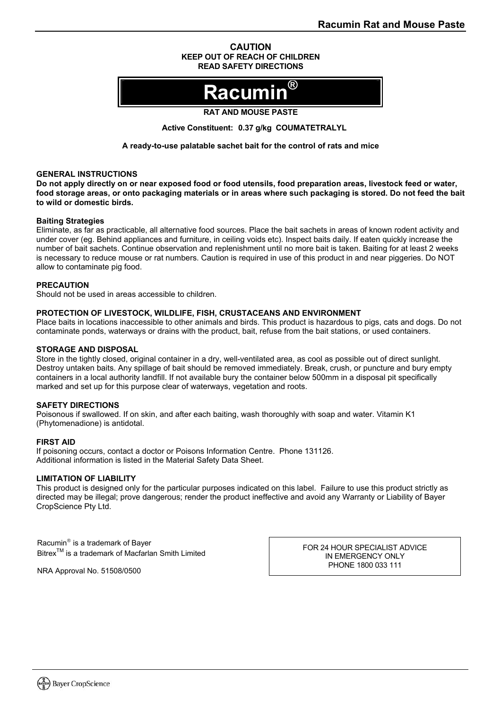#### **CAUTION KEEP OUT OF REACH OF CHILDREN READ SAFETY DIRECTIONS**

# **Racumin®**

#### **RAT AND MOUSE PASTE**

**Active Constituent: 0.37 g/kg COUMATETRALYL** 

**A ready-to-use palatable sachet bait for the control of rats and mice** 

#### **GENERAL INSTRUCTIONS**

**Do not apply directly on or near exposed food or food utensils, food preparation areas, livestock feed or water, food storage areas, or onto packaging materials or in areas where such packaging is stored. Do not feed the bait to wild or domestic birds.** 

#### **Baiting Strategies**

Eliminate, as far as practicable, all alternative food sources. Place the bait sachets in areas of known rodent activity and under cover (eg. Behind appliances and furniture, in ceiling voids etc). Inspect baits daily. If eaten quickly increase the number of bait sachets. Continue observation and replenishment until no more bait is taken. Baiting for at least 2 weeks is necessary to reduce mouse or rat numbers. Caution is required in use of this product in and near piggeries. Do NOT allow to contaminate pig food.

#### **PRECAUTION**

Should not be used in areas accessible to children.

#### **PROTECTION OF LIVESTOCK, WILDLIFE, FISH, CRUSTACEANS AND ENVIRONMENT**

Place baits in locations inaccessible to other animals and birds. This product is hazardous to pigs, cats and dogs. Do not contaminate ponds, waterways or drains with the product, bait, refuse from the bait stations, or used containers.

#### **STORAGE AND DISPOSAL**

Store in the tightly closed, original container in a dry, well-ventilated area, as cool as possible out of direct sunlight. Destroy untaken baits. Any spillage of bait should be removed immediately. Break, crush, or puncture and bury empty containers in a local authority landfill. If not available bury the container below 500mm in a disposal pit specifically marked and set up for this purpose clear of waterways, vegetation and roots.

#### **SAFETY DIRECTIONS**

Poisonous if swallowed. If on skin, and after each baiting, wash thoroughly with soap and water. Vitamin K1 (Phytomenadione) is antidotal.

#### **FIRST AID**

If poisoning occurs, contact a doctor or Poisons Information Centre. Phone 131126. Additional information is listed in the Material Safety Data Sheet.

#### **LIMITATION OF LIABILITY**

This product is designed only for the particular purposes indicated on this label. Failure to use this product strictly as directed may be illegal; prove dangerous; render the product ineffective and avoid any Warranty or Liability of Bayer CropScience Pty Ltd.

Racumin<sup>®</sup> is a trademark of Bayer Bitrex<sup>™</sup> is a trademark of Macfarlan Smith Limited

NRA Approval No. 51508/0500

FOR 24 HOUR SPECIALIST ADVICE IN EMERGENCY ONLY PHONE 1800 033 111